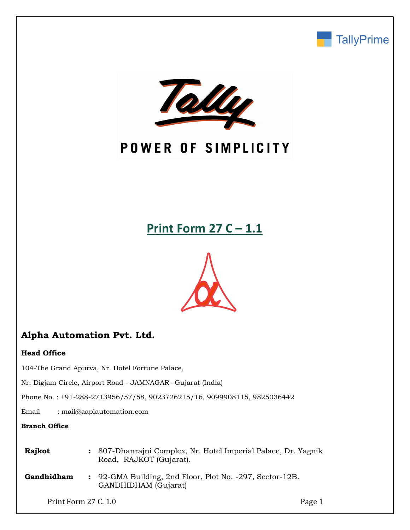



## POWER OF SIMPLICITY

## **Print Form 27 C – 1.1**



## **Alpha Automation Pvt. Ltd.**

#### **Head Office**

104-The Grand Apurva, Nr. Hotel Fortune Palace,

Nr. Digjam Circle, Airport Road - JAMNAGAR –Gujarat (India)

Phone No. : +91-288-2713956/57/58, 9023726215/16, 9099908115, 9825036442

Email : mail@aaplautomation.com

#### **Branch Office**

**Rajkot :** 807-Dhanrajni Complex, Nr. Hotel Imperial Palace, Dr. Yagnik Road, RAJKOT (Gujarat).

**Gandhidham :** 92-GMA Building, 2nd Floor, Plot No. -297, Sector-12B. GANDHIDHAM (Gujarat)

Print Form 27 C. 1.0 Page 1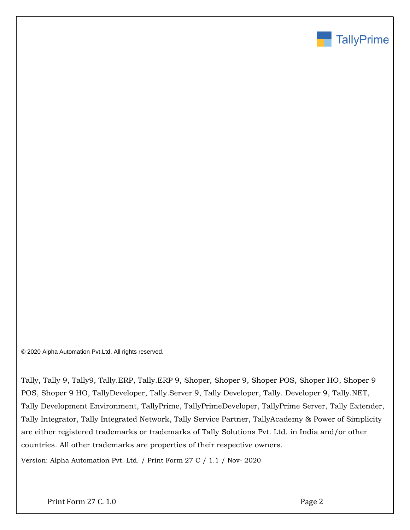

© 2020 Alpha Automation Pvt.Ltd. All rights reserved.

Tally, Tally 9, Tally9, Tally.ERP, Tally.ERP 9, Shoper, Shoper 9, Shoper POS, Shoper HO, Shoper 9 POS, Shoper 9 HO, TallyDeveloper, Tally.Server 9, Tally Developer, Tally. Developer 9, Tally.NET, Tally Development Environment, TallyPrime, TallyPrimeDeveloper, TallyPrime Server, Tally Extender, Tally Integrator, Tally Integrated Network, Tally Service Partner, TallyAcademy & Power of Simplicity are either registered trademarks or trademarks of Tally Solutions Pvt. Ltd. in India and/or other countries. All other trademarks are properties of their respective owners.

Version: Alpha Automation Pvt. Ltd. / Print Form 27 C / 1.1 / Nov- 2020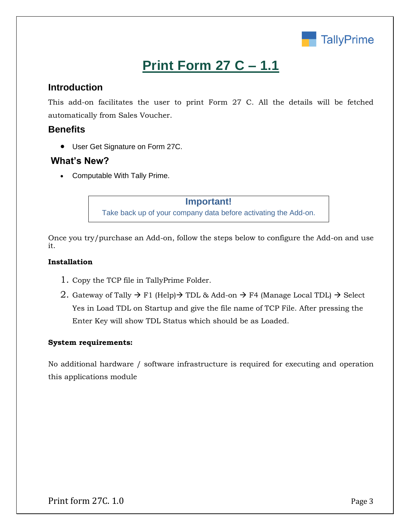

# **Print Form 27 C – 1.1**

## **Introduction**

This add-on facilitates the user to print Form 27 C. All the details will be fetched automatically from Sales Voucher.

## **Benefits**

• User Get Signature on Form 27C.

### **What's New?**

• Computable With Tally Prime.

## **Important!**

Take back up of your company data before activating the Add-on.

Once you try/purchase an Add-on, follow the steps below to configure the Add-on and use it.

#### **Installation**

- 1. Copy the TCP file in TallyPrime Folder.
- 2. Gateway of Tally  $\rightarrow$  F1 (Help) $\rightarrow$  TDL & Add-on  $\rightarrow$  F4 (Manage Local TDL)  $\rightarrow$  Select Yes in Load TDL on Startup and give the file name of TCP File. After pressing the Enter Key will show TDL Status which should be as Loaded.

#### **System requirements:**

No additional hardware / software infrastructure is required for executing and operation this applications module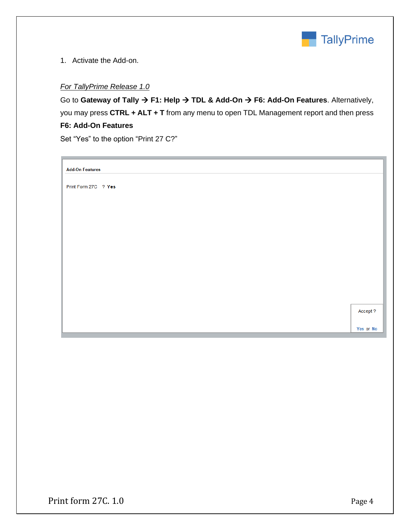

1. Activate the Add-on.

#### *For TallyPrime Release 1.0*

Go to **Gateway of Tally** → **F1: Help** → **TDL & Add-On** → **F6: Add-On Features**. Alternatively, you may press **CTRL + ALT + T** from any menu to open TDL Management report and then press **F6: Add-On Features**

Set "Yes" to the option "Print 27 C?"

**Add-On Features** 

Print Form 27C ? Yes

Accept ?

Yes or No

Print form 27C. 1.0 Page 4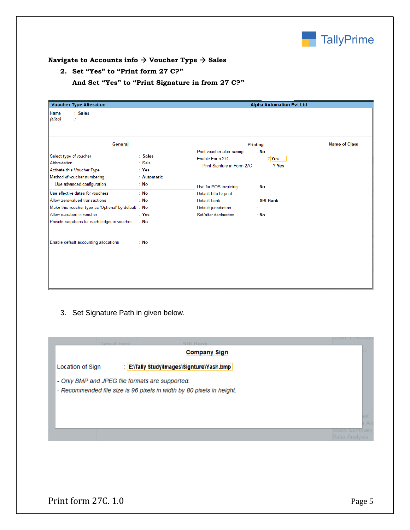

#### **Navigate to Accounts info** → **Voucher Type** → **Sales**

#### **2. Set "Yes" to "Print form 27 C?"**

| <b>Voucher Type Alteration</b><br>Name<br>: Sales<br>(alias)<br>÷.                                                                                                                                                                                                                                                                                                                                       |                                                                                                                                                              |                                                                                                                                                                                                 | <b>Alpha Automation Pvt Ltd</b>                                             |                      |
|----------------------------------------------------------------------------------------------------------------------------------------------------------------------------------------------------------------------------------------------------------------------------------------------------------------------------------------------------------------------------------------------------------|--------------------------------------------------------------------------------------------------------------------------------------------------------------|-------------------------------------------------------------------------------------------------------------------------------------------------------------------------------------------------|-----------------------------------------------------------------------------|----------------------|
| <b>General</b><br>Select type of voucher<br>Abbreviation<br>Activate this Voucher Type<br>Method of voucher numbering<br>Use advanced configuration<br>Use effective dates for vouchers<br>Allow zero-valued transactions<br>Make this voucher type as 'Optional' by default: No<br>Allow narration in voucher<br>Provide narrations for each ledger in voucher<br>Enable default accounting allocations | : Sales<br>$\therefore$ Sale<br>$\therefore$ Yes<br>: Automatic<br>: No<br>$\therefore$ No<br>$\therefore$ No<br>$\therefore$ Yes<br>$\therefore$ No<br>: No | Print voucher after saving<br>Enable Form 27C<br>Print Signture in Form 27C<br>Use for POS invoicing<br>Default title to print<br>Default bank<br>Default jurisdiction<br>Set/alter declaration | <b>Printing</b><br>: No<br>$?$ Yes<br>? Yes<br>: No<br>: SBI Bank<br>$:$ No | <b>Name of Class</b> |

**And Set "Yes" to "Print Signature in from 27 C?"**

3. Set Signature Path in given below.

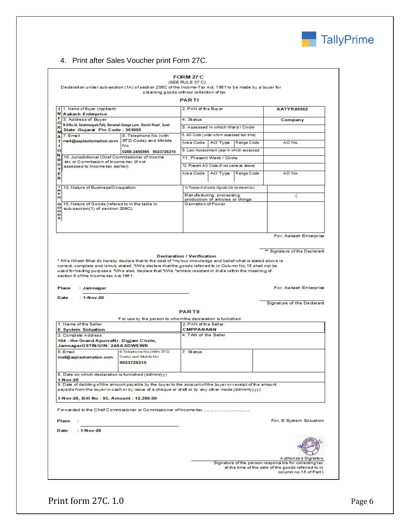

### 4. Print after Sales Voucher print Form 27C.

|                                                                                                                                                                                                                                                                                                                                                                                                  |                                                                                                                                                                                                                                                                                                                                                                               | PARTI                                                          |            |                                                                                |
|--------------------------------------------------------------------------------------------------------------------------------------------------------------------------------------------------------------------------------------------------------------------------------------------------------------------------------------------------------------------------------------------------|-------------------------------------------------------------------------------------------------------------------------------------------------------------------------------------------------------------------------------------------------------------------------------------------------------------------------------------------------------------------------------|----------------------------------------------------------------|------------|--------------------------------------------------------------------------------|
| I 1. Name of Buyer (Applicant)<br>И<br><b>Aakash Enterprise</b>                                                                                                                                                                                                                                                                                                                                  |                                                                                                                                                                                                                                                                                                                                                                               | 2. PAN of the Buy er                                           |            | <b>AATYR45562</b>                                                              |
| F<br>3. Address of Buyer                                                                                                                                                                                                                                                                                                                                                                         |                                                                                                                                                                                                                                                                                                                                                                               | 4. Status                                                      |            | Company                                                                        |
| o<br>R<br>State: Gujarat Pin Code: 361005                                                                                                                                                                                                                                                                                                                                                        | N.H.No.34, Sarabmangala Pally, Banamali Garage Lane, Ranchi Road, Surat                                                                                                                                                                                                                                                                                                       | 5. Assessed in which Ward / Circle                             |            |                                                                                |
| M<br>7. Email<br>А                                                                                                                                                                                                                                                                                                                                                                               | 8. Telephone No (with                                                                                                                                                                                                                                                                                                                                                         | 6. AO Code (under whom assessed last time)                     |            |                                                                                |
| т<br>mail@aaplautomation.com<br>ı                                                                                                                                                                                                                                                                                                                                                                | STD Code) and Mobile<br>No                                                                                                                                                                                                                                                                                                                                                    | Are a Code   AO Type                                           | Range Code | AO No.                                                                         |
| $\circ$                                                                                                                                                                                                                                                                                                                                                                                          | 0288-2456985 9023726215                                                                                                                                                                                                                                                                                                                                                       | 9. Last Assessment year in which assessed                      |            |                                                                                |
| И<br>10. Jurisdictional Chief Commissioner of income<br>в<br>-tax or Commission of Income -tax (if not<br>U<br>assessed to Income-tax earlier)<br>Y                                                                                                                                                                                                                                              |                                                                                                                                                                                                                                                                                                                                                                               | 11. Present Ward / Circle                                      |            |                                                                                |
|                                                                                                                                                                                                                                                                                                                                                                                                  |                                                                                                                                                                                                                                                                                                                                                                               | 12. Present AO Code (if not same as above)                     |            |                                                                                |
| Е<br>R                                                                                                                                                                                                                                                                                                                                                                                           |                                                                                                                                                                                                                                                                                                                                                                               | Are a Code   AO Type                                           | Range Code | AO No.                                                                         |
| 13. Nature of Business/Occupation                                                                                                                                                                                                                                                                                                                                                                |                                                                                                                                                                                                                                                                                                                                                                               | 14. Purpose of utilization of goods (tick the relevant box)    |            |                                                                                |
| F<br>$\circ$                                                                                                                                                                                                                                                                                                                                                                                     |                                                                                                                                                                                                                                                                                                                                                                               | Manufacturing, processing,<br>production of articles or things |            | V                                                                              |
| 15. Nature of Goods (refered to in the table in<br>G<br>۰<br>sub-section(1) of section 206C)<br>$\circ$<br>D<br>8                                                                                                                                                                                                                                                                                |                                                                                                                                                                                                                                                                                                                                                                               | Genration of Power                                             |            |                                                                                |
|                                                                                                                                                                                                                                                                                                                                                                                                  |                                                                                                                                                                                                                                                                                                                                                                               |                                                                |            | For, Aakash Enterprise                                                         |
|                                                                                                                                                                                                                                                                                                                                                                                                  | <b>Declaration / Verification</b><br>* WVe Nilesh Bhai do hereby declare that to the best of *my/our knowledge and belief what is stated above is<br>correct, complete and istruly stated. "I/We declare that the goods referred to in Column No.15 shall not be<br>used for trading purposes. "I/We also, declare that "I/We "am/are resident in India within the meaning of |                                                                |            |                                                                                |
| : Jamnagar<br>: $1-Nov-20$                                                                                                                                                                                                                                                                                                                                                                       |                                                                                                                                                                                                                                                                                                                                                                               |                                                                |            | For, Aakash Enterprise<br>Signature of the Dedarant                            |
|                                                                                                                                                                                                                                                                                                                                                                                                  |                                                                                                                                                                                                                                                                                                                                                                               | PARTIL                                                         |            |                                                                                |
|                                                                                                                                                                                                                                                                                                                                                                                                  | F or use by the person to who mthe declaration is furnished                                                                                                                                                                                                                                                                                                                   |                                                                |            |                                                                                |
|                                                                                                                                                                                                                                                                                                                                                                                                  |                                                                                                                                                                                                                                                                                                                                                                               | 2. PAN of the Seller<br><b>CMPPANANN</b>                       |            |                                                                                |
|                                                                                                                                                                                                                                                                                                                                                                                                  |                                                                                                                                                                                                                                                                                                                                                                               | 4. TAN of the Seller                                           |            |                                                                                |
|                                                                                                                                                                                                                                                                                                                                                                                                  | 6. Telephone No. (With STD<br>Code) and Mobile No<br>9023726215                                                                                                                                                                                                                                                                                                               | 7. Status                                                      |            |                                                                                |
|                                                                                                                                                                                                                                                                                                                                                                                                  |                                                                                                                                                                                                                                                                                                                                                                               |                                                                |            |                                                                                |
|                                                                                                                                                                                                                                                                                                                                                                                                  | 9. Date of debiting of the amount payable by the buyer to the account of the buyer or receipt of the amount<br>payable from the buyer in cash orby issue of a cheque or draft or by any other mode (dd/mm/yyyy)                                                                                                                                                               |                                                                |            |                                                                                |
|                                                                                                                                                                                                                                                                                                                                                                                                  |                                                                                                                                                                                                                                                                                                                                                                               |                                                                |            |                                                                                |
|                                                                                                                                                                                                                                                                                                                                                                                                  |                                                                                                                                                                                                                                                                                                                                                                               |                                                                |            | For, E System Soluation                                                        |
| section 6 of the Income-tax Act. 1961.<br>Place<br>Date<br>1. Name of the Seller<br>E System Soluation<br>3. Complete Address<br>104 - the Grand ApurvaNr. Digiam Circle,<br>JamnagarGSTIN/UIN: 24AASDWEWR<br>5. Email<br>mail@aaplautomation.com<br>8. Date on which declaration is furnished (dd/mm/yy)<br>1-Nov-20<br>1-Nov-20, Bill No: 93, Amount: 12,390.00<br>Place<br>: 1-Nov-20<br>Date |                                                                                                                                                                                                                                                                                                                                                                               |                                                                |            |                                                                                |
|                                                                                                                                                                                                                                                                                                                                                                                                  |                                                                                                                                                                                                                                                                                                                                                                               |                                                                |            | Authorized Signatory<br>Signature of the person responsible for collecting tax |

Print form 27C. 1.0 Page 6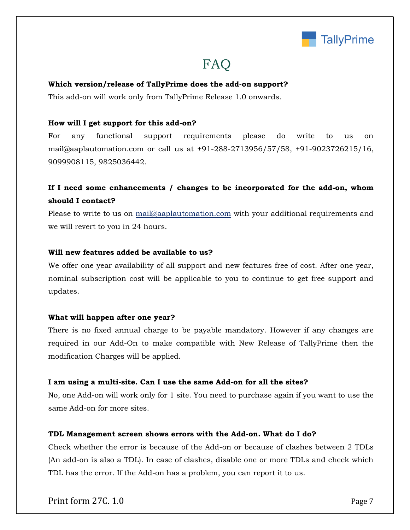

## FAQ

#### **Which version/release of TallyPrime does the add-on support?**

This add-on will work only from TallyPrime Release 1.0 onwards.

#### **How will I get support for this add-on?**

For any functional support requirements please do write to us on mail@aaplautomation.com or call us at +91-288-2713956/57/58, +91-9023726215/16, 9099908115, 9825036442.

## **If I need some enhancements / changes to be incorporated for the add-on, whom should I contact?**

Please to write to us on mail@aaplautomation.com with your additional requirements and we will revert to you in 24 hours.

#### **Will new features added be available to us?**

We offer one year availability of all support and new features free of cost. After one year, nominal subscription cost will be applicable to you to continue to get free support and updates.

#### **What will happen after one year?**

There is no fixed annual charge to be payable mandatory. However if any changes are required in our Add-On to make compatible with New Release of TallyPrime then the modification Charges will be applied.

#### **I am using a multi-site. Can I use the same Add-on for all the sites?**

No, one Add-on will work only for 1 site. You need to purchase again if you want to use the same Add-on for more sites.

#### **TDL Management screen shows errors with the Add-on. What do I do?**

Check whether the error is because of the Add-on or because of clashes between 2 TDLs (An add-on is also a TDL). In case of clashes, disable one or more TDLs and check which TDL has the error. If the Add-on has a problem, you can report it to us.